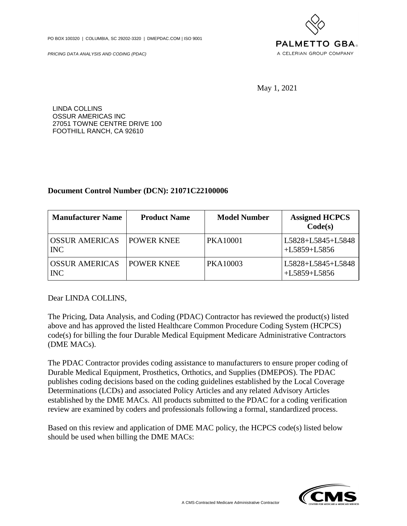PO BOX 100320 | COLUMBIA, SC 29202-3320 | DMEPDAC.COM | ISO 9001

PRICING DATA ANALYSIS AND CODING (PDAC)



May 1, 2021

LINDA COLLINS OSSUR AMERICAS INC 27051 TOWNE CENTRE DRIVE 100 FOOTHILL RANCH, CA 92610

## **Document Control Number (DCN): 21071C22100006**

| <b>Manufacturer Name</b>            | <b>Product Name</b> | <b>Model Number</b> | <b>Assigned HCPCS</b><br>Code(s)    |
|-------------------------------------|---------------------|---------------------|-------------------------------------|
| <b>OSSUR AMERICAS</b><br><b>INC</b> | <b>POWER KNEE</b>   | <b>PKA10001</b>     | L5828+L5845+L5848<br>$+L5859+L5856$ |
| <b>OSSUR AMERICAS</b><br><b>INC</b> | <b>POWER KNEE</b>   | PKA10003            | L5828+L5845+L5848<br>$+L5859+L5856$ |

Dear LINDA COLLINS,

The Pricing, Data Analysis, and Coding (PDAC) Contractor has reviewed the product(s) listed above and has approved the listed Healthcare Common Procedure Coding System (HCPCS) code(s) for billing the four Durable Medical Equipment Medicare Administrative Contractors (DME MACs).

The PDAC Contractor provides coding assistance to manufacturers to ensure proper coding of Durable Medical Equipment, Prosthetics, Orthotics, and Supplies (DMEPOS). The PDAC publishes coding decisions based on the coding guidelines established by the Local Coverage Determinations (LCDs) and associated Policy Articles and any related Advisory Articles established by the DME MACs. All products submitted to the PDAC for a coding verification review are examined by coders and professionals following a formal, standardized process.

Based on this review and application of DME MAC policy, the HCPCS code(s) listed below should be used when billing the DME MACs:

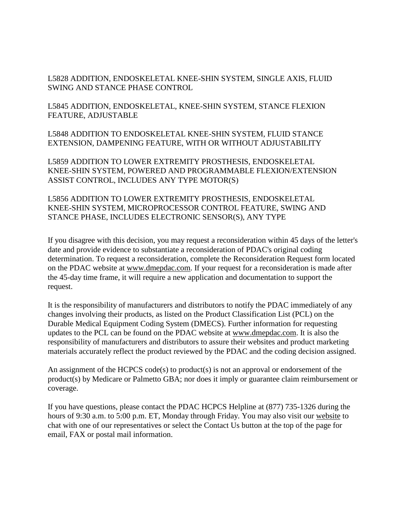L5828 ADDITION, ENDOSKELETAL KNEE-SHIN SYSTEM, SINGLE AXIS, FLUID SWING AND STANCE PHASE CONTROL

L5845 ADDITION, ENDOSKELETAL, KNEE-SHIN SYSTEM, STANCE FLEXION FEATURE, ADJUSTABLE

L5848 ADDITION TO ENDOSKELETAL KNEE-SHIN SYSTEM, FLUID STANCE EXTENSION, DAMPENING FEATURE, WITH OR WITHOUT ADJUSTABILITY

L5859 ADDITION TO LOWER EXTREMITY PROSTHESIS, ENDOSKELETAL KNEE-SHIN SYSTEM, POWERED AND PROGRAMMABLE FLEXION/EXTENSION ASSIST CONTROL, INCLUDES ANY TYPE MOTOR(S)

L5856 ADDITION TO LOWER EXTREMITY PROSTHESIS, ENDOSKELETAL KNEE-SHIN SYSTEM, MICROPROCESSOR CONTROL FEATURE, SWING AND STANCE PHASE, INCLUDES ELECTRONIC SENSOR(S), ANY TYPE

If you disagree with this decision, you may request a reconsideration within 45 days of the letter's date and provide evidence to substantiate a reconsideration of PDAC's original coding determination. To request a reconsideration, complete the Reconsideration Request form located on the PDAC website at [www.dmepdac.com.](http://www.dmepdac.com) If your request for a reconsideration is made after the 45-day time frame, it will require a new application and documentation to support the request.

It is the responsibility of manufacturers and distributors to notify the PDAC immediately of any changes involving their products, as listed on the Product Classification List (PCL) on the Durable Medical Equipment Coding System (DMECS). Further information for requesting updates to the PCL can be found on the PDAC website at [www.dmepdac.com.](http://www.dmepdac.com) It is also the responsibility of manufacturers and distributors to assure their websites and product marketing materials accurately reflect the product reviewed by the PDAC and the coding decision assigned.

An assignment of the HCPCS code(s) to product(s) is not an approval or endorsement of the product(s) by Medicare or Palmetto GBA; nor does it imply or guarantee claim reimbursement or coverage.

If you have questions, please contact the PDAC HCPCS Helpline at (877) 735-1326 during the hours of 9:30 a.m. to 5:00 p.m. ET, Monday through Friday. You may also visit our [website](https://www.dmepdac.com/) to chat with one of our representatives or select the Contact Us button at the top of the page for email, FAX or postal mail information.